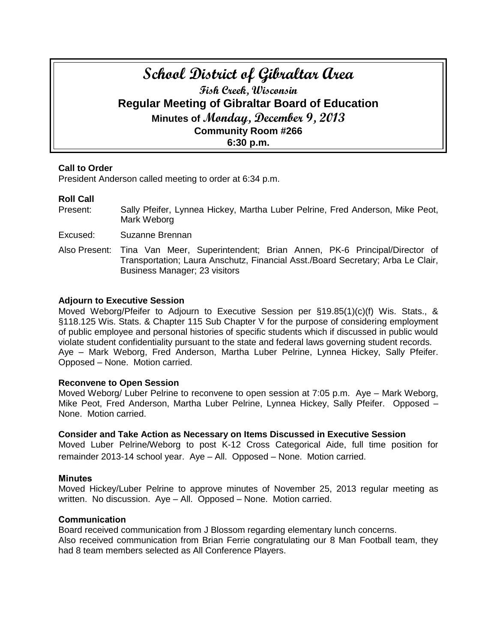# **School District of Gibraltar Area Fish Creek, Wisconsin Regular Meeting of Gibraltar Board of Education Minutes of Monday, December 9, 2013 Community Room #266 6:30 p.m.**

# **Call to Order**

President Anderson called meeting to order at 6:34 p.m.

# **Roll Call**

Present: Sally Pfeifer, Lynnea Hickey, Martha Luber Pelrine, Fred Anderson, Mike Peot, Mark Weborg

Excused: Suzanne Brennan

Also Present: Tina Van Meer, Superintendent; Brian Annen, PK-6 Principal/Director of Transportation; Laura Anschutz, Financial Asst./Board Secretary; Arba Le Clair, Business Manager; 23 visitors

# **Adjourn to Executive Session**

Moved Weborg/Pfeifer to Adjourn to Executive Session per §19.85(1)(c)(f) Wis. Stats., & §118.125 Wis. Stats. & Chapter 115 Sub Chapter V for the purpose of considering employment of public employee and personal histories of specific students which if discussed in public would violate student confidentiality pursuant to the state and federal laws governing student records. Aye – Mark Weborg, Fred Anderson, Martha Luber Pelrine, Lynnea Hickey, Sally Pfeifer. Opposed – None. Motion carried.

#### **Reconvene to Open Session**

Moved Weborg/ Luber Pelrine to reconvene to open session at 7:05 p.m. Aye – Mark Weborg, Mike Peot, Fred Anderson, Martha Luber Pelrine, Lynnea Hickey, Sally Pfeifer. Opposed – None. Motion carried.

#### **Consider and Take Action as Necessary on Items Discussed in Executive Session**

Moved Luber Pelrine/Weborg to post K-12 Cross Categorical Aide, full time position for remainder 2013-14 school year. Aye – All. Opposed – None. Motion carried.

# **Minutes**

Moved Hickey/Luber Pelrine to approve minutes of November 25, 2013 regular meeting as written. No discussion. Aye – All. Opposed – None. Motion carried.

# **Communication**

Board received communication from J Blossom regarding elementary lunch concerns. Also received communication from Brian Ferrie congratulating our 8 Man Football team, they had 8 team members selected as All Conference Players.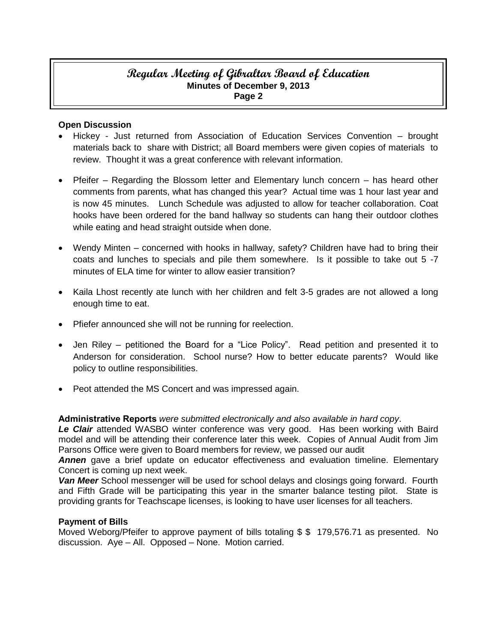# **Regular Meeting of Gibraltar Board of Education Minutes of December 9, 2013 Page 2**

# **Open Discussion**

- Hickey Just returned from Association of Education Services Convention brought materials back to share with District; all Board members were given copies of materials to review. Thought it was a great conference with relevant information.
- Pfeifer Regarding the Blossom letter and Elementary lunch concern has heard other comments from parents, what has changed this year? Actual time was 1 hour last year and is now 45 minutes. Lunch Schedule was adjusted to allow for teacher collaboration. Coat hooks have been ordered for the band hallway so students can hang their outdoor clothes while eating and head straight outside when done.
- Wendy Minten concerned with hooks in hallway, safety? Children have had to bring their coats and lunches to specials and pile them somewhere. Is it possible to take out 5 -7 minutes of ELA time for winter to allow easier transition?
- Kaila Lhost recently ate lunch with her children and felt 3-5 grades are not allowed a long enough time to eat.
- Pfiefer announced she will not be running for reelection.
- Jen Riley petitioned the Board for a "Lice Policy". Read petition and presented it to Anderson for consideration. School nurse? How to better educate parents? Would like policy to outline responsibilities.
- Peot attended the MS Concert and was impressed again.

# **Administrative Reports** *were submitted electronically and also available in hard copy*.

*Le Clair* attended WASBO winter conference was very good. Has been working with Baird model and will be attending their conference later this week. Copies of Annual Audit from Jim Parsons Office were given to Board members for review, we passed our audit

*Annen* gave a brief update on educator effectiveness and evaluation timeline. Elementary Concert is coming up next week.

*Van Meer* School messenger will be used for school delays and closings going forward. Fourth and Fifth Grade will be participating this year in the smarter balance testing pilot. State is providing grants for Teachscape licenses, is looking to have user licenses for all teachers.

# **Payment of Bills**

Moved Weborg/Pfeifer to approve payment of bills totaling \$ \$ 179,576.71 as presented. No discussion. Aye – All. Opposed – None. Motion carried.